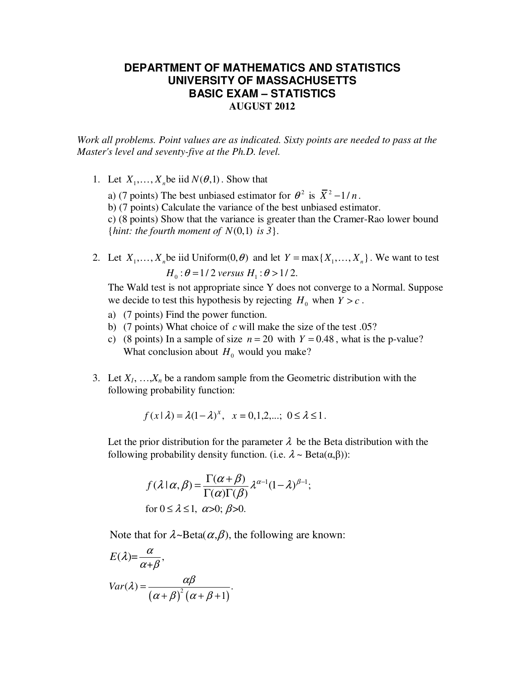## **DEPARTMENT OF MATHEMATICS AND STATISTICS UNIVERSITY OF MASSACHUSETTS BASIC EXAM – STATISTICS AUGUST 2012**

*Work all problems. Point values are as indicated. Sixty points are needed to pass at the Master's level and seventy-five at the Ph.D. level.* 

1. Let  $X_1, \ldots, X_n$  be iid  $N(\theta, 1)$ . Show that

a) (7 points) The best unbiased estimator for  $\theta^2$  is  $\overline{X}^2 - 1/n$ .

b) (7 points) Calculate the variance of the best unbiased estimator.

c) (8 points) Show that the variance is greater than the Cramer-Rao lower bound {*hint: the fourth moment of N*(0,1) is 3}.

2. Let  $X_1, \ldots, X_n$  be iid Uniform $(0, \theta)$  and let  $Y = \max\{X_1, \ldots, X_n\}$ . We want to test  $H_0$ :  $\theta$  = 1/2 versus  $H_1$ :  $\theta$  > 1/2.

The Wald test is not appropriate since Y does not converge to a Normal. Suppose we decide to test this hypothesis by rejecting  $H_0$  when  $Y > c$ .

- a) (7 points) Find the power function.
- b) (7 points) What choice of *c* will make the size of the test .05?
- c) (8 points) In a sample of size  $n = 20$  with  $Y = 0.48$ , what is the p-value? What conclusion about  $H_0$  would you make?
- 3. Let  $X_1$ ,  $\ldots$ , $X_n$  be a random sample from the Geometric distribution with the following probability function:

$$
f(x | \lambda) = \lambda (1 - \lambda)^x
$$
,  $x = 0, 1, 2, ...$ ;  $0 \le \lambda \le 1$ .

Let the prior distribution for the parameter  $\lambda$  be the Beta distribution with the following probability density function. (i.e.  $\lambda \sim \text{Beta}(\alpha, \beta)$ ):

$$
f(\lambda \mid \alpha, \beta) = \frac{\Gamma(\alpha + \beta)}{\Gamma(\alpha)\Gamma(\beta)} \lambda^{\alpha - 1} (1 - \lambda)^{\beta - 1};
$$
  
for  $0 \le \lambda \le 1$ ,  $\alpha > 0$ ;  $\beta > 0$ .

Note that for  $\lambda \sim Beta(\alpha, \beta)$ , the following are known:

$$
E(\lambda) = \frac{\alpha}{\alpha + \beta},
$$
  
 
$$
Var(\lambda) = \frac{\alpha \beta}{(\alpha + \beta)^2 (\alpha + \beta + 1)}.
$$